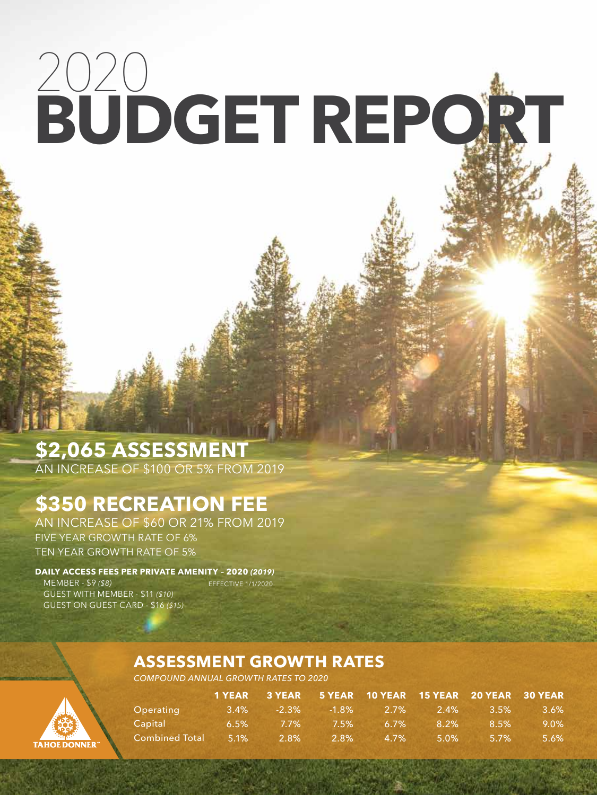# 2020 **BUDGET REPORT**

# **\$2,065 ASSESSMENT**

AN INCREASE OF \$100 OR 5% FROM 2019

## **\$350 RECREATION FEE**

AN INCREASE OF \$60 OR 21% FROM 2019 FIVE YEAR GROWTH RATE OF 6% TEN YEAR GROWTH RATE OF 5%

**DAILY ACCESS FEES PER PRIVATE AMENITY – 2020** *(2019)* MEMBER - \$9 *(\$8)* GUEST WITH MEMBER - \$11 *(\$10)* GUEST ON GUEST CARD - \$16 *(\$15)*  EFFECTIVE 1/1/2020

**TAHOE DONNER** 

### **ASSESSMENT GROWTH RATES**

*COMPOUND ANNUAL GROWTH RATES TO 2020*

|                       |         |          |          |          |         | 1 YEAR 3 YEAR 5 YEAR 10 YEAR 15 YEAR 20 YEAR 30 YEAR |         |
|-----------------------|---------|----------|----------|----------|---------|------------------------------------------------------|---------|
| Operating             | $3.4\%$ | $-2.3\%$ | $-1.8\%$ | $-2.7\%$ | 2.4%    | $3.5\%$                                              | 3.6%    |
| Capital               | 6.5%    | $7.7\%$  | $7.5\%$  | $6.7\%$  | 8.2%    | 8.5%                                                 | $9.0\%$ |
| <b>Combined Total</b> | $5.1\%$ | $2.8\%$  | $2.8\%$  | $4.7\%$  | $5.0\%$ | $5.7\%$                                              | 5.6%    |

Tahoe Donner 2020 Budget Report | **1**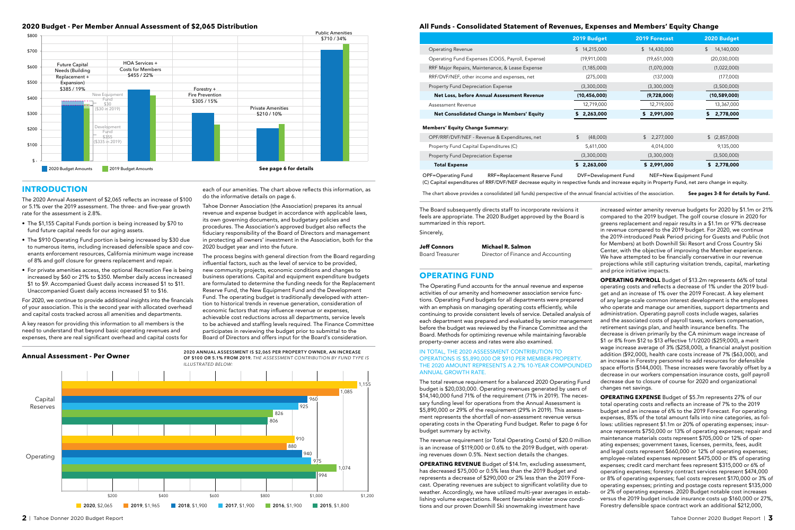#### Operating Revenue

- Operating Fund Expenses (COGS, Payroll, Expense)
- RRF Major Repairs, Maintenance, & Lease Expense
- RRF/DVF/NEF, other income and expenses, net
- Property Fund Depreciation Expense

#### Net Loss, before Annual Assessment Revenue

Assessment Revenue

Net Consolidated Change in Members' Equity

| OPF/RRF/DVF/NEF - Revenue & Expenditures, net |
|-----------------------------------------------|
|-----------------------------------------------|

Property Fund Capital Expenditures (C)

Property Fund Depreciation Expense

#### Total Expense

| 2019 Budget      | <b>2019 Forecast</b> | 2020 Budget      |
|------------------|----------------------|------------------|
| \$<br>14,215,000 | \$<br>14,430,000     | \$<br>14,140,000 |
| (19,911,000)     | (19,651,000)         | (20,030,000)     |
| (1, 185, 000)    | (1,070,000)          | (1,022,000)      |
| (275,000)        | (137,000)            | (177,000)        |
| (3,300,000)      | (3,300,000)          | (3,500,000)      |
| (10, 456, 000)   | (9,728,000)          | (10,589,000)     |
| 12,719,000       | 12,719,000           | 13,367,000       |
| 2,263,000<br>S   | \$2,991,000          | 2,778,000<br>S   |
|                  |                      |                  |
| \$<br>(48,000)   | 2,277,000<br>\$      | \$ (2,857,000)   |
| 5,611,000        | 4,014,000            | 9,135,000        |
| (3,300,000)      | (3,300,000)          | (3,500,000)      |
| 2,263,000<br>\$  | \$2,991,000          | 2,778,000        |

#### Members' Equity Change Summary:

OPF=Operating Fund RRF=Replacement Reserve Fund DVF=Development Fund NEF=New Equipment Fund (C) Capital expenditures of RRF/DVF/NEF decrease equity in respective funds and increase equity in Property Fund, net zero change in equity.

The chart above provides a consolidated (all funds) perspective of the annual financial activities of the association. See pages 3-8 for details by Fund.

#### **INTRODUCTION**

The 2020 Annual Assessment of \$2,065 reflects an increase of \$100 or 5.1% over the 2019 assessment. The three- and five-year growth rate for the assessment is 2.8%.

- The \$1,155 Capital Funds portion is being increased by \$70 to fund future capital needs for our aging assets.
- The \$910 Operating Fund portion is being increased by \$30 due to numerous items, including increased defensible space and covenants enforcement resources, California minimum wage increase of 8% and golf closure for greens replacement and repair.
- For private amenities access, the optional Recreation Fee is being increased by \$60 or 21% to \$350. Member daily access increased \$1 to \$9. Accompanied Guest daily access increased \$1 to \$11. Unaccompanied Guest daily access increased \$1 to \$16.





For 2020, we continue to provide additional insights into the financials of your association. This is the second year with allocated overhead and capital costs tracked across all amenities and departments.

A key reason for providing this information to all members is the need to understand that beyond basic operating revenues and expenses, there are real significant overhead and capital costs for

#### **2020 Budget - Per Member Annual Assessment of \$2,065 Distribution**

each of our amenities. The chart above reflects this information, as do the informative details on page 6.

Tahoe Donner Association (the Association) prepares its annual revenue and expense budget in accordance with applicable laws, its own governing documents, and budgetary policies and procedures. The Association's approved budget also reflects the fiduciary responsibility of the Board of Directors and management in protecting all owners' investment in the Association, both for the 2020 budget year and into the future.

The process begins with general direction from the Board regarding influential factors, such as the level of service to be provided, new community projects, economic conditions and changes to business operations. Capital and equipment expenditure budgets are formulated to determine the funding needs for the Replacement Reserve Fund, the New Equipment Fund and the Development Fund. The operating budget is traditionally developed with attention to historical trends in revenue generation, consideration of economic factors that may influence revenue or expenses, achievable cost reductions across all departments, service levels to be achieved and staffing levels required. The Finance Committee participates in reviewing the budget prior to submittal to the Board of Directors and offers input for the Board's consideration.

The Operating Fund accounts for the annual revenue and expense activities of our amenity and homeowner association service functions. Operating Fund budgets for all departments were prepared with an emphasis on managing operating costs efficiently, while continuing to provide consistent levels of service. Detailed analysis of each department was prepared and evaluated by senior management before the budget was reviewed by the Finance Committee and the Board. Methods for optimizing revenue while maintaining favorable property-owner access and rates were also examined.

#### IN TOTAL, THE 2020 ASSESSMENT CONTRIBUTION TO OPERATIONS IS \$5,890,000 OR \$910 PER MEMBER-PROPERTY. THE 2020 AMOUNT REPRESENTS A 2.7% 10-YEAR COMPOUNDED ANNUAL GROWTH RATE.

The total revenue requirement for a balanced 2020 Operating Fund budget is \$20,030,000. Operating revenues generated by users of \$14,140,000 fund 71% of the requirement (71% in 2019). The necessary funding level for operations from the Annual Assessment is \$5,890,000 or 29% of the requirement (29% in 2019). This assessment represents the shortfall of non-assessment revenue versus operating costs in the Operating Fund budget. Refer to page 6 for budget summary by activity.

The revenue requirement (or Total Operating Costs) of \$20.0 million is an increase of \$119,000 or 0.6% to the 2019 Budget, with operating revenues down 0.5%. Next section details the changes.

**OPERATING REVENUE** Budget of \$14.1m, excluding assessment, has decreased \$75,000 or 0.5% less than the 2019 Budget and represents a decrease of \$290,000 or 2% less than the 2019 Forecast. Operating revenues are subject to significant volatility due to weather. Accordingly, we have utilized multi-year averages in establishing volume expectations. Recent favorable winter snow conditions and our proven Downhill Ski snowmaking investment have

**OPERATING FUND** increased winter amenity revenue budgets for 2020 by \$1.1m or 21% compared to the 2019 budget. The golf course closure in 2020 for greens replacement and repair results in a \$1.1m or 97% decrease in revenue compared to the 2019 budget. For 2020, we continue the 2019-introduced Peak Period pricing for Guests and Public (not for Members) at both Downhill Ski Resort and Cross Country Ski Center, with the objective of improving the Member experience. We have attempted to be financially conservative in our revenue projections while still capturing visitation trends, capital, marketing and price initiative impacts. **Michael R. Salmon** Director of Finance and Accounting **Jeff Connors** Board Treasurer The Board subsequently directs staff to incorporate revisions it feels are appropriate. The 2020 Budget approved by the Board is summarized in this report. Sincerely,

**OPERATING PAYROLL** Budget of \$13.2m represents 66% of total operating costs and reflects a decrease of 1% under the 2019 budget and an increase of 1% over the 2019 Forecast. A key element of any large-scale common interest development is the employees who operate and manage our amenities, support departments and administration. Operating payroll costs include wages, salaries and the associated costs of payroll taxes, workers compensation, retirement savings plan, and health insurance benefits. The decrease is driven primarily by the CA minimum wage increase of \$1 or 8% from \$12 to \$13 effective 1/1/2020 (\$259,000), a merit wage increase average of 3% (\$258,000), a financial analyst position addition (\$92,000), health care costs increase of 7% (\$63,000), and an increase in Forestry personnel to add resources for defensible space efforts (\$144,000). These increases were favorably offset by a decrease in our workers compensation insurance costs, golf payroll decrease due to closure of course for 2020 and organizational changes net savings.

**OPERATING EXPENSE** Budget of \$5.7m represents 27% of our total operating costs and reflects an increase of 7% to the 2019 budget and an increase of 6% to the 2019 Forecast. For operating expenses, 85% of the total amount falls into nine categories, as follows: utilities represent \$1.1m or 20% of operating expenses; insurance represents \$750,000 or 13% of operating expenses; repair and maintenance materials costs represent \$705,000 or 12% of operating expenses; government taxes, licenses, permits, fees, audit and legal costs represent \$660,000 or 12% of operating expenses; employee-related expenses represent \$475,000 or 8% of operating expenses; credit card merchant fees represent \$315,000 or 6% of operating expenses; forestry contract services represent \$474,000 or 8% of operating expenses; fuel costs represent \$170,000 or 3% of operating expenses; printing and postage costs represent \$135,000 or 2% of operating expenses. 2020 Budget notable cost increases versus the 2019 budget include insurance costs up \$160,000 or 27%, Forestry defensible space contract work an additional \$212,000,

#### **All Funds - Consolidated Statement of Revenues, Expenses and Members' Equity Change**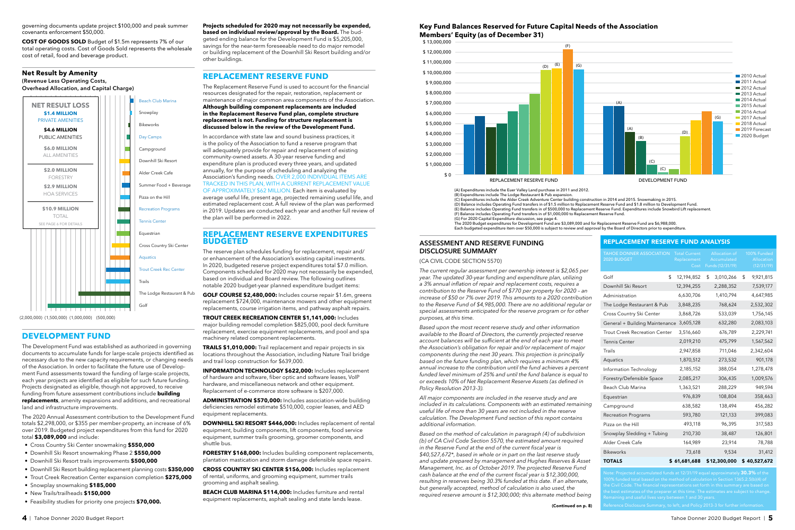TOTALS

| <b>REPLACEMENT RESERVE FUND ANALYSIS</b>       |                                             |                                                  |                                         |  |  |  |  |  |  |
|------------------------------------------------|---------------------------------------------|--------------------------------------------------|-----------------------------------------|--|--|--|--|--|--|
| <b>TAHOE DONNER ASSOCIATION</b><br>2020 BUDGET | <b>Total Current</b><br>Replacement<br>Cost | Allocation of<br>Accumulated<br>Funds (12/31/19) | 100% Funded<br>Allocation<br>(12/31/19) |  |  |  |  |  |  |
| Golf<br>\$                                     | 12,194,852                                  | \$<br>3,010,266                                  | \$<br>9,921,815                         |  |  |  |  |  |  |
| Downhill Ski Resort                            | 12,394,255                                  | 2,288,352                                        | 7,539,177                               |  |  |  |  |  |  |
| Administration                                 | 6,630,706                                   | 1,410,794                                        | 4,647,985                               |  |  |  |  |  |  |
| The Lodge Restaurant & Pub                     | 3,848,235                                   | 768,624                                          | 2,532,302                               |  |  |  |  |  |  |
| Cross Country Ski Center                       | 3,868,726                                   | 533,039                                          | 1,756,145                               |  |  |  |  |  |  |
| General + Building Maintenance                 | 3,605,128                                   | 632,280                                          | 2,083,103                               |  |  |  |  |  |  |
| <b>Trout Creek Recreation Center</b>           | 3,516,660                                   | 676,789                                          | 2,229,741                               |  |  |  |  |  |  |
| <b>Tennis Center</b>                           | 2,019,210                                   | 475,799                                          | 1,567,562                               |  |  |  |  |  |  |
| Trails                                         | 2,947,858                                   | 711,046                                          | 2,342,604                               |  |  |  |  |  |  |
| Aquatics                                       | 1,870,512                                   | 273,532                                          | 901,178                                 |  |  |  |  |  |  |
| Information Technology                         | 2,185,152                                   | 388,054                                          | 1,278,478                               |  |  |  |  |  |  |
| Forestry/Defensible Space                      | 2,085,217                                   | 306,435                                          | 1,009,576                               |  |  |  |  |  |  |
| Beach Club Marina                              | 1,363,521                                   | 288,229                                          | 949,594                                 |  |  |  |  |  |  |
| Equestrian                                     | 976,839                                     | 108,804                                          | 358,463                                 |  |  |  |  |  |  |
| Campground                                     | 638,582                                     | 138,494                                          | 456,282                                 |  |  |  |  |  |  |
| <b>Recreation Programs</b>                     | 593,780                                     | 121,133                                          | 399,083                                 |  |  |  |  |  |  |
| Pizza on the Hill                              | 493,118                                     | 96,395                                           | 317,583                                 |  |  |  |  |  |  |
| Snowplay Sledding + Tubing                     | 210,730                                     | 38,487                                           | 126,801                                 |  |  |  |  |  |  |
| Alder Creek Cafe                               | 164,989                                     | 23,914                                           | 78,788                                  |  |  |  |  |  |  |
| <b>Bikeworks</b>                               | 73,618                                      | 9.534                                            | 31,412                                  |  |  |  |  |  |  |

Remaining and useful lives vary between 1 and 30 years.

\$ 61,681,688 \$ 12,300,000 \$ 40,527,672

(A) Expenditures include the Euer Valley Land purchase in 2011 and 2012. (B) Expenditures include The Lodge Restaurant & Pub expansion. (C) Expenditures include the Alder Creek Adventure Center building construction in 2014 and 2015. Snowmaking in 2015. (D) Balance includes Operating Fund transfers in of \$1.5 million to Replacement Reserve Fund and \$1.8 million to Development Fund.<br>(E) Balance includes Operating Fund transfers in of \$500,000 to Replacement Reserve Fund. E (F) Balance includes Operating Fund transfers in of \$1,000,000 to Replacement Reserve Fund. (G) For 2020 Capital Expenditure discussion, see page 4. The 2020 Budget expenditures for Development Fund are \$3,089,000 and for Replacement Reserve Fund are \$6,988,000.<br>Each budgeted expenditure item over \$50,000 is subject to review and approval by the Board of Directors prio



#### Key Fund Balances Reserved for Future Capital Needs of the Association<br>Members' Fquity (as of December 31) **Members' Equity (as of December 31)**

### **Net Result by Amenity (Revenue Less Operating Costs,**

**Overhead Allocation, and Capital Charge)**

governing documents update project \$100,000 and peak summer covenants enforcement \$50,000.

**COST OF GOODS SOLD** Budget of \$1.5m represents 7% of our total operating costs. Cost of Goods Sold represents the wholesale cost of retail, food and beverage product.



#### **ASSESSMENT AND RESERVE FUNDING DISCLOSURE SUMMARY**

(CA CIVIL CODE SECTION 5570)

*The current regular assessment per ownership interest is \$2,065 per year. The updated 30-year funding and expenditure plan, utilizing a 3% annual inflation of repair and replacement costs, requires a contribution to the Reserve Fund of \$770 per property for 2020 – an increase of \$50 or 7% over 2019. This amounts to a 2020 contribution to the Reserve Fund of \$4,985,000. There are no additional regular or special assessments anticipated for the reserve program or for other purposes, at this time.*

*Based upon the most recent reserve study and other information available to the Board of Directors, the currently projected reserve account balances will be sufficient at the end of each year to meet the Association's obligation for repair and/or replacement of major components during the next 30 years. This projection is principally based on the future funding plan, which requires a minimum 4% annual increase to the contribution until the fund achieves a percent funded level minimum of 25% and until the fund balance is equal to or exceeds 10% of Net Replacement Reserve Assets (as defined in Policy Resolution 2013-3).*

*All major components are included in the reserve study and are included in its calculations. Components with an estimated remaining useful life of more than 30 years are not included in the reserve calculation. The Development Fund section of this report contains additional information.*

**FORESTRY \$168,000:** Includes building component replacements, plantation mastication and storm damage defensible space repairs.

*Based on the method of calculation in paragraph (4) of subdivision (b) of CA Civil Code Section 5570, the estimated amount required in the Reserve Fund at the end of the current fiscal year is \$40,527,672\*, based in whole or in part on the last reserve study and update prepared by management and Hughes Reserves & Asset Management, Inc. as of October 2019. The projected Reserve Fund cash balance at the end of the current fiscal year is \$12,300,000, resulting in reserves being 30.3% funded at this date. If an alternate, but generally accepted, method of calculation is also used, the required reserve amount is \$12,300,000; this alternate method being* 

### **DEVELOPMENT FUND**

The Development Fund was established as authorized in governing documents to accumulate funds for large-scale projects identified as necessary due to the new capacity requirements, or changing needs of the Association. In order to facilitate the future use of Development Fund assessments toward the funding of large-scale projects, each year projects are identified as eligible for such future funding. Projects designated as eligible, though not approved, to receive funding from future assessment contributions include **building replacements**, amenity expansions and additions, and recreational land and infrastructure improvements.

The 2020 Annual Assessment contribution to the Development Fund totals \$2,298,000, or \$355 per member-property, an increase of 6% over 2019. Budgeted project expenditures from this fund for 2020 total **\$3,089,000** and include:

- Cross Country Ski Center snowmaking **\$550,000**
- Downhill Ski Resort snowmaking Phase 2 **\$550,000**
- Downhill Ski Resort trails improvements **\$500,000**
- Downhill Ski Resort building replacement planning costs **\$350,000**
- Trout Creek Recreation Center expansion completion **\$275,000**
- Snowplay snowmaking **\$185,000**
- New Trails/trailheads **\$150,000**
- Feasibility studies for priority one projects **\$70,000.**

**Projects scheduled for 2020 may not necessarily be expended, based on individual review/approval by the Board.** The budgeted ending balance for the Development Fund is \$5,205,000, savings for the near-term foreseeable need to do major remodel or building replacement of the Downhill Ski Resort building and/or other buildings.

### **REPLACEMENT RESERVE FUND**

The Replacement Reserve Fund is used to account for the financial resources designated for the repair, restoration, replacement or maintenance of major common area components of the Association. **Although building component replacements are included in the Replacement Reserve Fund plan, complete structure replacement is not. Funding for structure replacement is discussed below in the review of the Development Fund.**

In accordance with state law and sound business practices, it is the policy of the Association to fund a reserve program that will adequately provide for repair and replacement of existing community-owned assets. A 30-year reserve funding and expenditure plan is produced every three years, and updated annually, for the purpose of scheduling and analyzing the Association's funding needs. OVER 2,000 INDIVIDUAL ITEMS ARE TRACKED IN THIS PLAN, WITH A CURRENT REPLACEMENT VALUE OF APPROXIMATELY \$62 MILLION. Each item is evaluated by average useful life, present age, projected remaining useful life, and estimated replacement cost. A full review of the plan was performed in 2019. Updates are conducted each year and another full review of the plan will be performed in 2022.

#### **REPLACEMENT RESERVE EXPENDITURES BUDGETED**

The reserve plan schedules funding for replacement, repair and/ or enhancement of the Association's existing capital investments. In 2020, budgeted reserve project expenditures total \$7.0 million. Components scheduled for 2020 may not necessarily be expended, based on individual and Board review. The following outlines notable 2020 budget-year planned expenditure budget items:

**GOLF COURSE \$2,480,000:** Includes course repair \$1.6m, greens replacement \$724,000, maintenance mowers and other equipment replacements, course irrigation items, and pathway asphalt repairs.

**TROUT CREEK RECREATION CENTER \$1,141,000:** Includes major building remodel completion \$825,000, pool deck furniture replacement, exercise equipment replacements, and pool and spa machinery related component replacements.

**TRAILS \$1,010,000:** Trail replacement and repair projects in six locations throughout the Association, including Nature Trail bridge and trail loop construction for \$639,000.

**INFORMATION TECHNOLOGY \$622,000:** Includes replacement of hardware and software, fiber optic and software leases, VoIP hardware, and miscellaneous network and other equipment. Replacement of e-commerce store software is \$207,000.

**ADMINISTRATION \$570,000:** Includes association-wide building deficiencies remodel estimate \$510,000, copier leases, and AED equipment replacements.

**DOWNHILL SKI RESORT \$446,000:** Includes replacement of rental equipment, building components, lift components, food service equipment, summer trails grooming, groomer components, and shuttle bus.

**CROSS COUNTRY SKI CENTER \$156,000:** Includes replacement of rental, uniforms, and grooming equipment, summer trails grooming and asphalt sealing.

**BEACH CLUB MARINA \$114,000:** Includes furniture and rental equipment replacements, asphalt sealing and state lands lease.

(Continued on p. 8)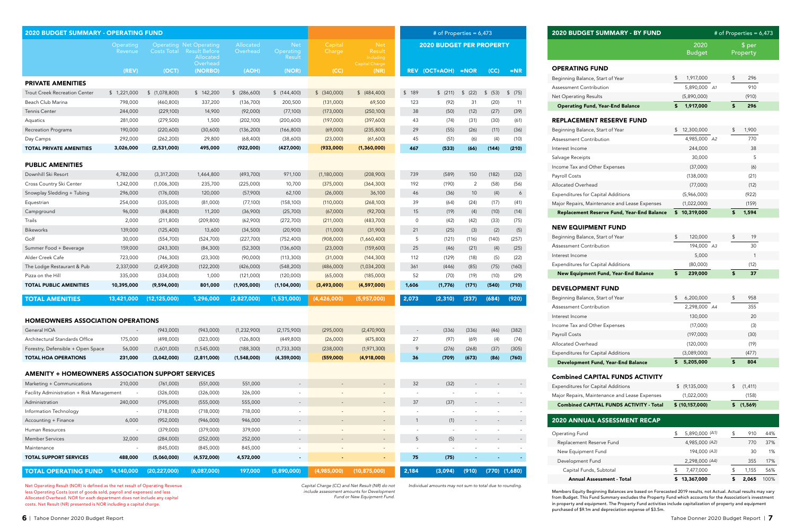Net Operating Result (NOR) is defined as the net result of Operating Revenue less Operating Costs (cost of goods sold, payroll and expenses) and less Allocated Overhead. NOR for each department does not include any capital costs. Net Result (NR) presented is NOR including a capital charge.

*Capital Charge (CC) and Net Result (NR) do not Individual amounts may not sum to total due to rounding.*

*include assessment amounts for Development Fund or New Equipment Fund.*

Members Equity Beginning Balances are based on Forecasted 2019 results, not Actual. Actual results may vary from Budget. This Fund Summary excludes the Property Fund which accounts for the Association's investment in property and equipment. The Property Fund activities include capitalization of property and equipment purchased of \$9.1m and depreciation expense of \$3.5m.

| <b>2020 BUDGET SUMMARY - OPERATING FUND</b>              |                                     |                        |                                                                                 |                           |                                   |                       |                                   | # of Properties = $6,473$                |               |                          |             |                   |
|----------------------------------------------------------|-------------------------------------|------------------------|---------------------------------------------------------------------------------|---------------------------|-----------------------------------|-----------------------|-----------------------------------|------------------------------------------|---------------|--------------------------|-------------|-------------------|
|                                                          | Operating<br>Revenue                | <b>Costs Total</b>     | <b>Operating Net Operating</b><br><b>Result Before</b><br>Allocated<br>Overhead | Allocated<br>Overhead     | <b>Net</b><br>Operating<br>Result | Capital<br>Charge     | <b>Net</b><br>Result<br>Including | <b>2020 BUDGET PER PROPERTY</b>          |               |                          |             |                   |
|                                                          | (REV)                               | (OCT)                  | (NORBO)                                                                         | (AOH)                     | (NOR)                             | (CC)                  | <b>Capital Charge</b><br>(NR)     | <b>REV</b>                               | (OCT+AOH)     | $=$ NOR                  | (CC)        | $=NR$             |
| <b>PRIVATE AMENITIES</b>                                 |                                     |                        |                                                                                 |                           |                                   |                       |                                   |                                          |               |                          |             |                   |
| <b>Trout Creek Recreation Center</b>                     | \$1,221,000                         | \$(1,078,800)          | \$142,200                                                                       | \$ (286,600)              | \$(144, 400)                      | \$ (340,000)          | \$ (484, 400)                     | \$189                                    | \$ (211)      | \$ (22)                  | \$ (53)     | \$ (75)           |
| Beach Club Marina                                        | 798,000                             | (460, 800)             | 337,200                                                                         | (136, 700)                | 200,500                           | (131,000)             | 69,500                            | 123                                      | (92)          | 31                       | (20)        | 11                |
| <b>Tennis Center</b>                                     | 244,000                             | (229, 100)             | 14,900                                                                          | (92,000)                  | (77,100)                          | (173,000)             | (250, 100)                        | 38                                       | (50)          | (12)                     | (27)        | (39)              |
| Aquatics                                                 | 281,000                             | (279, 500)             | 1,500                                                                           | (202, 100)                | (200, 600)                        | (197,000)             | (397,600)                         | 43                                       | (74)          | (31)                     | (30)        | (61)              |
| <b>Recreation Programs</b>                               | 190,000                             | (220,600)              | (30,600)                                                                        | (136, 200)                | (166, 800)                        | (69,000)              | (235, 800)                        | 29                                       | (55)          | (26)                     | (11)        | (36)              |
| Day Camps                                                | 292,000                             | (262, 200)             | 29,800                                                                          | (68, 400)                 | (38,600)                          | (23,000)              | (61,600)                          | 45                                       | (51)          | (6)                      | (4)         | (10)              |
| <b>TOTAL PRIVATE AMENITIES</b>                           | 3,026,000                           | (2,531,000)            | 495,000                                                                         | (922,000)                 | (427,000)                         | (933,000)             | (1, 360, 000)                     | 467                                      | (533)         | (66)                     | (144)       | (210)             |
| <b>PUBLIC AMENITIES</b>                                  |                                     |                        |                                                                                 |                           |                                   |                       |                                   |                                          |               |                          |             |                   |
| Downhill Ski Resort                                      | 4,782,000                           | (3,317,200)            | 1,464,800                                                                       | (493,700)                 | 971,100                           | (1,180,000)           | (208,900)                         | 739                                      | (589)         | 150                      | (182)       | (32)              |
| Cross Country Ski Center                                 | 1,242,000                           | (1,006,300)            | 235,700                                                                         | (225,000)                 | 10,700                            | (375,000)             | (364, 300)                        | 192                                      | (190)         | $\overline{2}$           | (58)        | (56)              |
| Snowplay Sledding + Tubing                               | 296,000                             | (176,000)              | 120,000                                                                         | (57,900)                  | 62,100                            | (26,000)              | 36,100                            | 46                                       | (36)          | 10 <sup>°</sup>          | (4)         | 6                 |
| Equestrian                                               | 254,000                             | (335,000)              | (81,000)                                                                        | (77,100)                  | (158, 100)                        | (110,000)             | (268, 100)                        | 39                                       | (64)          | (24)                     | (17)        | (41)              |
| Campground                                               | 96,000                              | (84, 800)              | 11,200                                                                          | (36,900)                  | (25,700)                          | (67,000)              | (92, 700)                         | 15                                       | (19)          | (4)                      | (10)        | (14)              |
| Trails                                                   | 2,000                               | (211, 800)             | (209, 800)                                                                      | (62,900)                  | (272,700)                         | (211,000)             | (483,700)                         | $\mathsf{O}$                             | (42)          | (42)                     | (33)        | (75)              |
| <b>Bikeworks</b>                                         | 139,000                             | (125, 400)             | 13,600                                                                          | (34,500)                  | (20,900)                          | (11,000)              | (31,900)                          | 21                                       | (25)          | (3)                      | (2)         | (5)               |
| Golf                                                     | 30,000                              | (554,700)              | (524,700)                                                                       | (227,700)                 | (752, 400)                        | (908,000)             | (1,660,400)                       | 5                                        | (121)         | (116)                    | (140)       | (257)             |
| Summer Food + Beverage                                   | 159,000                             | (243, 300)             | (84, 300)                                                                       | (52, 300)                 | (136,600)                         | (23,000)              | (159,600)                         | 25                                       | (46)          | (21)                     | (4)         | (25)              |
| Alder Creek Cafe                                         | 723,000                             | (746, 300)             | (23, 300)                                                                       | (90,000)                  | (113, 300)                        | (31,000)              | (144, 300)                        | 112                                      | (129)         | (18)                     | (5)         | (22)              |
| The Lodge Restaurant & Pub                               | 2,337,000                           | (2,459,200)            | (122, 200)                                                                      | (426,000)                 | (548, 200)                        | (486,000)             | (1,034,200)                       | 361                                      | (446)         | (85)                     | (75)        | (160)             |
| Pizza on the Hill                                        | 335,000                             | (334,000)              | 1,000                                                                           | (121,000)                 | (120,000)                         | (65,000)              | (185,000)                         | 52                                       | (70)          | (19)                     | (10)        | (29)              |
| <b>TOTAL PUBLIC AMENITIES</b>                            | 10,395,000                          | (9,594,000)            | 801,000                                                                         | (1,905,000)               | (1,104,000)                       | (3,493,000)           | (4,597,000)                       | 1,606                                    | (1,776)       | (171)                    | (540)       | (710)             |
| <b>TOTAL AMENITIES</b>                                   | 13,421,000                          | (12, 125, 000)         | 1,296,000                                                                       | (2,827,000)               | (1,531,000)                       | (4, 426, 000)         | (5,957,000)                       | 2,073                                    | (2, 310)      | (237)                    | (684)       | (920)             |
| <b>HOMEOWNERS ASSOCIATION OPERATIONS</b>                 |                                     |                        |                                                                                 |                           |                                   |                       |                                   |                                          |               |                          |             |                   |
|                                                          |                                     |                        |                                                                                 |                           |                                   |                       |                                   |                                          |               |                          |             |                   |
| General HOA<br>Architectural Standards Office            | $\overline{\phantom{a}}$<br>175,000 | (943,000)<br>(498,000) | (943,000)<br>(323,000)                                                          | (1,232,900)<br>(126, 800) | (2, 175, 900)<br>(449,800)        | (295,000)<br>(26,000) | (2,470,900)<br>(475, 800)         | $\sim$<br>27                             | (336)<br>(97) | (336)<br>(69)            | (46)<br>(4) | (382)<br>(74)     |
| Forestry, Defensible + Open Space                        | 56,000                              | (1,601,000)            | (1,545,000)                                                                     | (188, 300)                | (1,733,300)                       | (238,000)             | (1,971,300)                       | 9                                        | (276)         | (268)                    | (37)        | (305)             |
| <b>TOTAL HOA OPERATIONS</b>                              | 231,000                             | (3,042,000)            | (2,811,000)                                                                     | (1,548,000)               | (4,359,000)                       | (559,000)             | (4,918,000)                       | 36                                       | (709)         | (673)                    | (86)        | (760)             |
|                                                          |                                     |                        |                                                                                 |                           |                                   |                       |                                   |                                          |               |                          |             |                   |
| <b>AMENITY + HOMEOWNERS ASSOCIATION SUPPORT SERVICES</b> |                                     |                        |                                                                                 |                           |                                   |                       |                                   |                                          |               |                          |             |                   |
| Marketing + Communications                               | 210,000                             | (761,000)              | (551,000)                                                                       | 551,000                   |                                   |                       | $\sim$                            | 32                                       | (32)          |                          |             |                   |
| Facility Administration + Risk Management                | $\overline{\phantom{a}}$            | (326,000)              | (326,000)                                                                       | 326,000                   |                                   |                       |                                   | $\overline{\phantom{a}}$                 |               |                          |             |                   |
| Administration                                           | 240,000                             | (795,000)              | (555,000)                                                                       | 555,000<br>718,000        | $\overline{\phantom{a}}$          |                       | ۰                                 | 37                                       | (37)          |                          |             |                   |
| Information Technology<br>Accounting + Finance           | $\overline{\phantom{a}}$<br>6,000   | (718,000)<br>(952,000) | (718,000)<br>(946,000)                                                          | 946,000                   | $\sim$                            |                       | $\sim$                            | $\overline{\phantom{a}}$<br>$\mathbf{1}$ | (1)           | $\overline{\phantom{a}}$ |             |                   |
| Human Resources                                          | $\sim$                              | (379,000)              | (379,000)                                                                       | 379,000                   |                                   |                       |                                   |                                          |               |                          |             |                   |
| <b>Member Services</b>                                   | 32,000                              | (284,000)              | (252,000)                                                                       | 252,000                   | $\overline{\phantom{a}}$          |                       | $\sim$                            | 5                                        | (5)           | $\overline{\phantom{a}}$ |             |                   |
| Maintenance                                              | $\overline{\phantom{a}}$            | (845,000)              | (845,000)                                                                       | 845,000                   | $\overline{\phantom{a}}$          |                       |                                   | $\overline{\phantom{a}}$                 |               |                          |             |                   |
| <b>TOTAL SUPPORT SERVICES</b>                            | 488,000                             | (5,060,000)            | (4,572,000)                                                                     | 4,572,000                 | $\blacksquare$                    |                       | $\sim$                            | 75                                       | (75)          |                          |             |                   |
| <b>TOTAL OPERATING FUND</b>                              | 14,140,000                          | (20, 227, 000)         | (6,087,000)                                                                     | 197,000                   | (5,890,000)                       | (4,985,000)           | (10, 875, 000)                    | 2,184                                    | (3,094)       | (910)                    |             | $(770)$ $(1,680)$ |

|                 | # of Properties = $6,473$  |              |                                 | 2020 BUDGET SUMMARY - BY FUND                  | # of Properties = $6,473$ |    |                    |              |
|-----------------|----------------------------|--------------|---------------------------------|------------------------------------------------|---------------------------|----|--------------------|--------------|
|                 | <b>BUDGET PER PROPERTY</b> |              |                                 |                                                | 2020<br><b>Budget</b>     |    | \$ per<br>Property |              |
| T+AOH)          | $= NOTE$                   | (CC)         | $= NP$                          | <b>OPERATING FUND</b>                          |                           |    |                    |              |
|                 |                            |              |                                 | Beginning Balance, Start of Year               | \$<br>1,917,000           | \$ | 296                |              |
|                 |                            |              |                                 | <b>Assessment Contribution</b>                 | 5,890,000 A1              |    | 910                |              |
| \$ (211)        | (22)<br>$\sqrt{2}$         | \$ (53)      | $\sqrt[6]{\frac{1}{2}}$<br>(75) | <b>Net Operating Results</b>                   | (5,890,000)               |    | (910)              |              |
| (92)            | 31                         | (20)         | 11                              | <b>Operating Fund, Year-End Balance</b>        | \$<br>1,917,000           |    | \$<br>296          |              |
| (50)            | (12)                       | (27)         | (39)                            |                                                |                           |    |                    |              |
| (74)            | (31)                       | (30)         | (61)                            | <b>REPLACEMENT RESERVE FUND</b>                |                           |    |                    |              |
| (55)            | (26)                       | (11)         | (36)                            | Beginning Balance, Start of Year               | \$12,300,000              | \$ | 1,900              |              |
| (51)            | (6)                        | (4)          | (10)                            | Assessment Contribution                        | 4,985,000 A2              |    | 770                |              |
| (533)           | (66)                       | (144)        | (210)                           | Interest Income                                | 244,000                   |    | 38                 |              |
|                 |                            |              |                                 | Salvage Receipts                               | 30,000                    |    |                    | 5            |
| (589)           | 150                        | (182)        | (32)                            | Income Tax and Other Expenses                  | (37,000)                  |    | (6)                |              |
| (190)           | $\overline{2}$             | (58)         | (56)                            | Payroll Costs                                  | (138,000)                 |    | (21)               |              |
|                 | 10                         |              | 6                               | Allocated Overhead                             | (77,000)                  |    | (12)               |              |
| (36)<br>(64)    |                            | (4)<br>(17)  | (41)                            | <b>Expenditures for Capital Additions</b>      | (5,966,000)               |    | (922)              |              |
| (19)            | (24)<br>(4)                | (10)         | (14)                            | Major Repairs, Maintenance and Lease Expenses  | (1,022,000)               |    | (159)              |              |
| (42)            | (42)                       | (33)         | (75)                            | Replacement Reserve Fund, Year-End Balance     | \$10,319,000              |    | \$<br>1,594        |              |
|                 |                            |              |                                 | <b>NEW EQUIPMENT FUND</b>                      |                           |    |                    |              |
| (25)<br>(121)   | (3)<br>(116)               | (2)<br>(140) | (5)<br>(257)                    | Beginning Balance, Start of Year               | \$<br>120,000             | \$ |                    | 19           |
| (46)            | (21)                       | (4)          | (25)                            | Assessment Contribution                        | 194,000 A3                |    | 30                 |              |
| (129)           | (18)                       | (5)          | (22)                            | Interest Income                                | 5,000                     |    |                    | $\mathbf{1}$ |
| (446)           | (85)                       | (75)         | (160)                           | <b>Expenditures for Capital Additions</b>      | (80,000)                  |    | (12)               |              |
| (70)            | (19)                       | (10)         | (29)                            | New Equipment Fund, Year-End Balance           | \$<br>239,000             | \$ | 37                 |              |
| (1,776)         | (171)                      | (540)        | (710)                           | <b>DEVELOPMENT FUND</b>                        |                           |    |                    |              |
| (2, 310)        | (237)                      | (684)        | (920)                           | Beginning Balance, Start of Year               | \$<br>6,200,000           | \$ | 958                |              |
|                 |                            |              |                                 | <b>Assessment Contribution</b>                 | 2,298,000 A4              |    | 355                |              |
|                 |                            |              |                                 | Interest Income                                | 130,000                   |    | 20                 |              |
|                 |                            |              |                                 | Income Tax and Other Expenses                  | (17,000)                  |    | (3)                |              |
| (336)           | (336)                      | (46)         | (382)                           | Payroll Costs                                  | (197,000)                 |    | (30)               |              |
| (97)            | (69)                       | (4)          | (74)                            | Allocated Overhead                             | (120,000)                 |    | (19)               |              |
| (276)           | (268)                      | (37)         | (305)                           | <b>Expenditures for Capital Additions</b>      | (3,089,000)               |    | (477)              |              |
| (709)           | (673)                      | (86)         | (760)                           | Development Fund, Year-End Balance             | \$<br>5,205,000           |    | \$<br>804          |              |
|                 |                            |              |                                 | <b>Combined CAPITAL FUNDS ACTIVITY</b>         |                           |    |                    |              |
| (32)            |                            |              |                                 | <b>Expenditures for Capital Additions</b>      | \$ (9,135,000)            | \$ | (1, 411)           |              |
|                 |                            |              |                                 | Major Repairs, Maintenance and Lease Expenses  | (1,022,000)               |    | (158)              |              |
| (37)            |                            |              |                                 | <b>Combined CAPITAL FUNDS ACTIVITY - Total</b> | \$ (10, 157, 000)         |    | \$<br>(1, 569)     |              |
| (1)             |                            |              |                                 | 2020 ANNUAL ASSESSMENT RECAP                   |                           |    |                    |              |
|                 |                            |              |                                 | Operating Fund                                 | \$<br>5,890,000 (A1)      |    | \$<br>910          |              |
| (5)             |                            |              |                                 | Replacement Reserve Fund                       | 4,985,000 (A2)            |    | 770                |              |
|                 |                            |              |                                 | New Equipment Fund                             | 194,000 (A3)              |    | 30                 |              |
|                 |                            |              |                                 | Development Fund                               | 2,298,000 (A4)            |    | 355                |              |
|                 |                            |              |                                 |                                                |                           |    |                    |              |
| (75)<br>(3,094) | (910)                      |              | $(770)$ $(1,680)$               | Capital Funds, Subtotal                        | \$<br>7,477,000           | \$ | 1,155              | 56%          |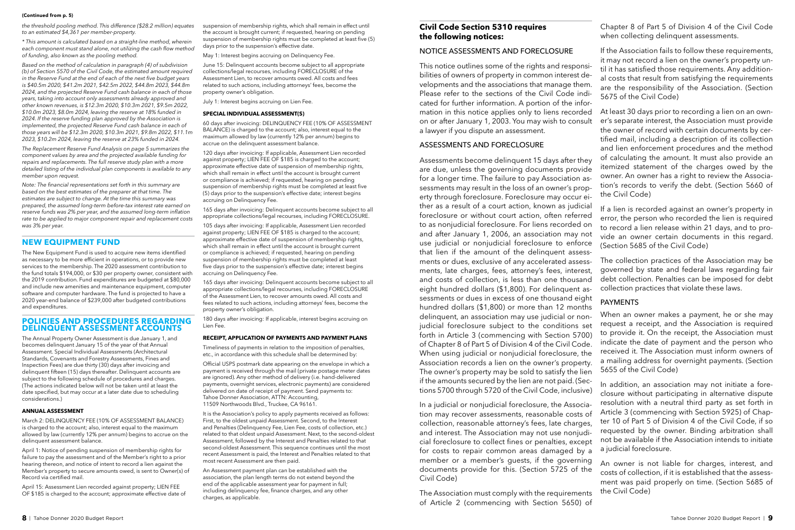#### **POLICIES AND PROCEDURES REGARDING DELINQUENT ASSESSMENT ACCOUNTS**

The Annual Property Owner Assessment is due January 1, and becomes delinquent January 15 of the year of that Annual Assessment. Special Individual Assessments (Architectural Standards, Covenants and Forestry Assessments, Fines and Inspection Fees) are due thirty (30) days after invoicing and delinquent fifteen (15) days thereafter. Delinquent accounts are subject to the following schedule of procedures and charges. (The actions indicated below will not be taken until at least the date specified, but may occur at a later date due to scheduling considerations.)

#### **ANNUAL ASSESSMENT**

March 2: DELINQUENCY FEE (10% OF ASSESSMENT BALANCE) is charged to the account; also, interest equal to the maximum allowed by law (currently 12% per annum) begins to accrue on the delinquent assessment balance.

April 1: Notice of pending suspension of membership rights for failure to pay the assessment and of the Member's right to a prior hearing thereon, and notice of intent to record a lien against the Member's property to secure amounts owed, is sent to Owner(s) of Record via certified mail.

April 15: Assessment Lien recorded against property; LIEN FEE OF \$185 is charged to the account; approximate effective date of

### **Civil Code Section 5310 requires the following notices:**

### NOTICE ASSESSMENTS AND FORECLOSURE

This notice outlines some of the rights and responsibilities of owners of property in common interest developments and the associations that manage them. Please refer to the sections of the Civil Code indicated for further information. A portion of the information in this notice applies only to liens recorded on or after January 1, 2003. You may wish to consult a lawyer if you dispute an assessment.

#### ASSESSMENTS AND FORECLOSURE

60 days after invoicing: DELINQUENCY FEE (10% OF ASSESSMENT BALANCE) is charged to the account; also, interest equal to the maximum allowed by law (currently 12% per annum) begins to accrue on the delinquent assessment balance.

> In a judicial or nonjudicial foreclosure, the Association may recover assessments, reasonable costs of collection, reasonable attorney's fees, late charges, and interest. The Association may not use nonjudicial foreclosure to collect fines or penalties, except for costs to repair common areas damaged by a member or a member's guests, if the governing documents provide for this. (Section 5725 of the Civil Code)

Assessments become delinquent 15 days after they are due, unless the governing documents provide for a longer time. The failure to pay Association assessments may result in the loss of an owner's property through foreclosure. Foreclosure may occur either as a result of a court action, known as judicial foreclosure or without court action, often referred to as nonjudicial foreclosure. For liens recorded on and after January 1, 2006, an association may not use judicial or nonjudicial foreclosure to enforce that lien if the amount of the delinquent assessments or dues, exclusive of any accelerated assessments, late charges, fees, attorney's fees, interest, and costs of collection, is less than one thousand eight hundred dollars (\$1,800). For delinquent assessments or dues in excess of one thousand eight hundred dollars (\$1,800) or more than 12 months delinquent, an association may use judicial or nonjudicial foreclosure subject to the conditions set forth in Article 3 (commencing with Section 5700) of Chapter 8 of Part 5 of Division 4 of the Civil Code. When using judicial or nonjudicial foreclosure, the Association records a lien on the owner's property. The owner's property may be sold to satisfy the lien if the amounts secured by the lien are not paid. (Sections 5700 through 5720 of the Civil Code, inclusive) itemized statement of the charges owed by the owner. An owner has a right to review the Association's records to verify the debt. (Section 5660 of the Civil Code) If a lien is recorded against an owner's property in error, the person who recorded the lien is required to record a lien release within 21 days, and to provide an owner certain documents in this regard. (Section 5685 of the Civil Code) The collection practices of the Association may be governed by state and federal laws regarding fair debt collection. Penalties can be imposed for debt collection practices that violate these laws. PAYMENTS When an owner makes a payment, he or she may request a receipt, and the Association is required to provide it. On the receipt, the Association must indicate the date of payment and the person who received it. The Association must inform owners of a mailing address for overnight payments. (Section 5655 of the Civil Code) In addition, an association may not initiate a fore-

The Association must comply with the requirements of Article 2 (commencing with Section 5650) of

Chapter 8 of Part 5 of Division 4 of the Civil Code when collecting delinquent assessments.

If the Association fails to follow these requirements, it may not record a lien on the owner's property until it has satisfied those requirements. Any additional costs that result from satisfying the requirements are the responsibility of the Association. (Section 5675 of the Civil Code)

At least 30 days prior to recording a lien on an owner's separate interest, the Association must provide the owner of record with certain documents by certified mail, including a description of its collection and lien enforcement procedures and the method of calculating the amount. It must also provide an

closure without participating in alternative dispute resolution with a neutral third party as set forth in Article 3 (commencing with Section 5925) of Chapter 10 of Part 5 of Division 4 of the Civil Code, if so requested by the owner. Binding arbitration shall not be available if the Association intends to initiate a judicial foreclosure.

An owner is not liable for charges, interest, and costs of collection, if it is established that the assessment was paid properly on time. (Section 5685 of the Civil Code)

#### (Continued from p. 5)

The New Equipment Fund is used to acquire new items identified as necessary to be more efficient in operations, or to provide new services to the membership. The 2020 assessment contribution to the fund totals \$194,000, or \$30 per property owner, consistent with the 2019 contribution. Fund expenditures are budgeted at \$80,000 and include new amenities and maintenance equipment, computer software and computer hardware. The fund is projected to have a 2020 year-end balance of \$239,000 after budgeted contributions and expenditures.

suspension of membership rights, which shall remain in effect until the account is brought current; if requested, hearing on pending suspension of membership rights must be completed at least five (5) days prior to the suspension's effective date.

May 1: Interest begins accruing on Delinquency Fee.

June 15: Delinquent accounts become subject to all appropriate collections/legal recourses, including FORECLOSURE of the Assessment Lien, to recover amounts owed. All costs and fees related to such actions, including attorneys' fees, become the property owner's obligation.

July 1: Interest begins accruing on Lien Fee.

#### **SPECIAL INDIVIDUAL ASSESSMENT(S)**

120 days after invoicing: If applicable, Assessment Lien recorded against property; LIEN FEE OF \$185 is charged to the account; approximate effective date of suspension of membership rights, which shall remain in effect until the account is brought current or compliance is achieved; if requested, hearing on pending suspension of membership rights must be completed at least five (5) days prior to the suspension's effective date; interest begins accruing on Delinquency Fee.

165 days after invoicing: Delinquent accounts become subject to all appropriate collections/legal recourses, including FORECLOSURE.

105 days after invoicing: If applicable, Assessment Lien recorded against property; LIEN FEE OF \$185 is charged to the account; approximate effective date of suspension of membership rights, which shall remain in effect until the account is brought current or compliance is achieved; if requested, hearing on pending suspension of membership rights must be completed at least five days prior to the suspension's effective date; interest begins accruing on Delinquency Fee.

165 days after invoicing: Delinquent accounts become subject to all appropriate collections/legal recourses, including FORECLOSURE of the Assessment Lien, to recover amounts owed. All costs and fees related to such actions, including attorneys' fees, become the property owner's obligation.

180 days after invoicing: If applicable, interest begins accruing on Lien Fee.

#### **RECEIPT, APPLICATION OF PAYMENTS AND PAYMENT PLANS**

Timeliness of payments in relation to the imposition of penalties, etc., in accordance with this schedule shall be determined by:

Official USPS postmark date appearing on the envelope in which a payment is received through the mail (private postage meter dates are ignored). Any other method of delivery (i.e. hand-delivered payments, overnight services, electronic payments) are considered delivered on date of receipt of payment. Send payments to: Tahoe Donner Association, ATTN: Accounting, 11509 Northwoods Blvd., Truckee, CA 96161.

It is the Association's policy to apply payments received as follows: First, to the oldest unpaid Assessment. Second, to the Interest and Penalties (Delinquency Fee, Lien Fee, costs of collection, etc.) related to that oldest unpaid Assessment. Next, to the second-oldest Assessment, followed by the Interest and Penalties related to that second-oldest Assessment. This sequence continues until the most recent Assessment is paid, the Interest and Penalties related to that most recent Assessment are then paid.

An Assessment payment plan can be established with the association, the plan length terms do not extend beyond the end of the applicable assessment year for payment in full; including delinquency fee, finance charges, and any other charges, as applicable.

*the threshold pooling method. This difference (\$28.2 million) equates to an estimated \$4,361 per member-property.* 

*\* This amount is calculated based on a straight-line method, wherein each component must stand alone, not utilizing the cash flow method of funding, also known as the pooling method.*

*Based on the method of calculation in paragraph (4) of subdivision (b) of Section 5570 of the Civil Code, the estimated amount required in the Reserve Fund at the end of each of the next five budget years is \$40.5m 2020, \$41.2m 2021, \$42.5m 2022, \$44.8m 2023, \$44.8m 2024, and the projected Reserve Fund cash balance in each of those years, taking into account only assessments already approved and other known revenues, is \$12.3m 2020, \$10.3m 2021, \$9.5m 2022, \$10.0m 2023, \$8.0m 2024, leaving the reserve at 18% funded in 2024. If the reserve funding plan approved by the Association is implemented, the projected Reserve Fund cash balance in each of those years will be \$12.3m 2020, \$10.3m 2021, \$9.8m 2022, \$11.1m 2023, \$10.2m 2024, leaving the reserve at 23% funded in 2024.* 

*The Replacement Reserve Fund Analysis on page 5 summarizes the component values by area and the projected available funding for repairs and replacements. The full reserve study plan with a more detailed listing of the individual plan components is available to any member upon request.*

*Note: The financial representations set forth in this summary are based on the best estimates of the preparer at that time. The estimates are subject to change. At the time this summary was prepared, the assumed long-term before-tax interest rate earned on reserve funds was 2% per year, and the assumed long-term inflation rate to be applied to major component repair and replacement costs was 3% per year.*

### **NEW EQUIPMENT FUND**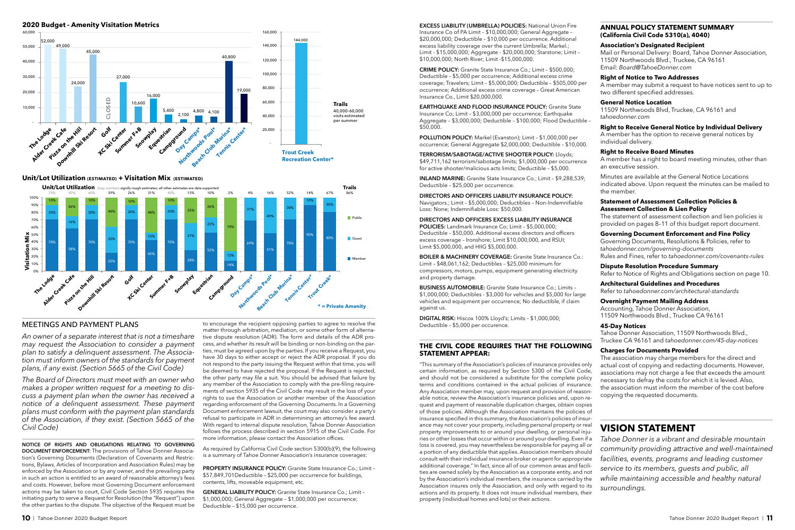#### MEETINGS AND PAYMENT PLANS

*An owner of a separate interest that is not a timeshare may request the Association to consider a payment plan to satisfy a delinquent assessment. The Association must inform owners of the standards for payment plans, if any exist. (Section 5665 of the Civil Code)*

*The Board of Directors must meet with an owner who makes a proper written request for a meeting to discuss a payment plan when the owner has received a notice of a delinquent assessment. These payment plans must conform with the payment plan standards of the Association, if they exist. (Section 5665 of the Civil Code)*

**NOTICE OF RIGHTS AND OBLIGATIONS RELATING TO GOVERNING DOCUMENT ENFORCEMENT:** The provisions of Tahoe Donner Association's Governing Documents (Declaration of Covenants and Restrictions, Bylaws, Articles of Incorporation and Association Rules) may be enforced by the Association or by any owner, and the prevailing party in such an action is entitled to an award of reasonable attorney's fees and costs. However, before most Governing Document enforcement actions may be taken to court, Civil Code Section 5935 requires the initiating party to serve a Request for Resolution (the "Request") upon the other parties to the dispute. The objective of the Request must be to encourage the recipient opposing parties to agree to resolve the matter through arbitration, mediation, or some other form of alterna-**\* = Private Amenity** tive dispute resolution (ADR). The form and details of the ADR process, and whether its result will be binding or non-binding on the parties, must be agreed upon by the parties. If you receive a Request, you have 30 days to either accept or reject the ADR proposal. If you do not respond to the party issuing the Request within that time, you will be deemed to have rejected the proposal. If the Request is rejected, the other party may file a suit. You should be advised that failure by any member of the Association to comply with the pre-filing requirements of section 5935 of the Civil Code may result in the loss of your rights to sue the Association or another member of the Association regarding enforcement of the Governing Documents. In a Governing Document enforcement lawsuit, the court may also consider a party's refusal to participate in ADR in determining an attorney's fee award. With regard to internal dispute resolution, Tahoe Donner Association follows the process described in section 5915 of the Civil Code. For more information, please contact the Association offices.

As required by California Civil Code section 5300(b)(9), the following is a summary of Tahoe Donner Association's insurance coverages:

**PROPERTY INSURANCE POLICY:** Granite State Insurance Co.; Limit – \$57,849,701Deductible – \$25,000 per occurrence for buildings, contents, lifts, moveable equipment, etc.

**GENERAL LIABILITY POLICY:** Granite State Insurance Co.; Limit – \$1,000,000; General Aggregate – \$1,000,000 per occurrence; Deductible – \$15,000 per occurrence.

**EXCESS LIABILITY (UMBRELLA) POLICIES:** National Union Fire Insurance Co of PA Limit – \$10,000,000; General Aggregate – \$20,000,000; Deductible – \$10,000 per occurrence. Additional excess liability coverage over the current Umbrella; Markel.; Limit - \$15,000,000; Aggregate - \$20,000,000; Starstone; Limit – \$10,000,000; North River; Limit -\$15,000,000.

**CRIME POLICY:** Granite State Insurance Co.; Limit – \$500,000; Deductible – \$5,000 per occurrence; Additional excess crime coverage; Travelers; Limit – \$5,000,000; Deductible – \$505,000 per occurrence; Additional excess crime coverage – Great American Insurance Co., Limit \$20,000,000.

**EARTHQUAKE AND FLOOD INSURANCE POLICY:** Granite State Insurance Co; Limit – \$3,000,000 per occurrence; Earthquake Aggregate – \$3,000,000; Deductible – \$100,000; Flood Deductible – \$50,000.

**POLLUTION POLICY:** Markel (Evanston); Limit – \$1,000,000 per occurrence; General Aggregate \$2,000,000; Deductible – \$10,000.

**TERRORISM/SABOTAGE/ACTIVE SHOOTER POLICY:** Lloyds; \$49,711,162 terrorism/sabotage limits; \$1,000,000 per occurrence for active shooter/malicious acts limits; Deductible – \$5,000.

**INLAND MARINE:** Granite State Insurance Co.; Limit – \$9,288,539; Deductible – \$25,000 per occurrence.

**DIRECTORS AND OFFICERS LIABILITY INSURANCE POLICY:**  Navigators.; Limit – \$5,000,000; Deductibles – Non-Indemnifiable Loss: None; Indemnifiable Loss: \$50,000.

**DIRECTORS AND OFFICERS EXCESS LIABILITY INSURANCE POLICIES:** Landmark Insurance Co; Limit – \$5,000,000; Deductible – \$50,000. Additional excess directors and officers excess coverage – Ironshore; Limit \$10,000,000, and RSUI; Limit \$5,000,000, and HIIG \$5,000,000.

**BOILER & MACHINERY COVERAGE:** Granite State Insurance Co.: Limit – \$48,061,162; Deductibles – \$25,000 minimum for compressors, motors, pumps, equipment generating electricity and property damage.

**BUSINESS AUTOMOBILE:** Granite State Insurance Co.; Limits – \$1,000,000; Deductibles - \$3,000 for vehicles and \$5,000 for large vehicles and equipment per occurrence; No deductible, if claim against us.

**DIGITAL RISK:** Hiscox 100% Lloyd's; Limits – \$1,000,000; Deductible – \$5,000 per occurence.

#### **THE CIVIL CODE REQUIRES THAT THE FOLLOWING STATEMENT APPEAR:**





#### **Unit/Lot Utilization (ESTIMATED) + Visitation Mix (ESTIMATED)** Unit/Lot Utilization Estimates + Visitation Mix (estimated)

"This summary of the Association's policies of insurance provides only certain information, as required by Section 5300 of the Civil Code, and should not be considered a substitute for the complete policy terms and conditions contained in the actual policies of insurance. Any Association member may, upon request and provision of reasonable notice, review the Association's insurance policies and, upon request and payment of reasonable duplication charges, obtain copies of those policies. Although the Association maintains the policies of insurance specified in this summary, the Association's policies of insurance may not cover your property, including personal property or real property improvements to or around your dwelling, or personal injuries or other losses that occur within or around your dwelling. Even if a loss is covered, you may nevertheless be responsible for paying all or a portion of any deductible that applies. Association members should consult with their individual insurance broker or agent for appropriate additional coverage." In fact, since all of our common areas and facilities are owned solely by the Association as a corporate entity, and not by the Association's individual members, the insurance carried by the Association insures only the Association, and only with regard to its actions and its property. It does not insure individual members, their property (individual homes and lots) or their actions. actual cost of copying and redacting documents. However, associations may not charge a fee that exceeds the amount necessary to defray the costs for which it is levied. Also, the association must inform the member of the cost before copying the requested documents. **VISION STATEMENT** *Tahoe Donner is a vibrant and desirable mountain community providing attractive and well-maintained facilities, events, programs and leading customer service to its members, guests and public, all while maintaining accessible and healthy natural surroundings.*

#### **ANNUAL POLICY STATEMENT SUMMARY (California Civil Code 5310(a), 4040)**

#### **Association's Designated Recipient**

Mail or Personal Delivery: Board, Tahoe Donner Association, 11509 Northwoods Blvd., Truckee, CA 96161 Email: *Board@TahoeDonner.com*

**Right of Notice to Two Addresses**

A member may submit a request to have notices sent to up to two different specified addresses.

#### **General Notice Location**

11509 Northwoods Blvd, Truckee, CA 96161 and *tahoedonner.com*

#### **Right to Receive General Notice by Individual Delivery**

A member has the option to receive general notices by individual delivery.

#### **Right to Receive Board Minutes**

A member has a right to board meeting minutes, other than an executive session.

Minutes are available at the General Notice Locations indicated above. Upon request the minutes can be mailed to the member.

#### **Statement of Assessment Collection Policies & Assessment Collection & Lien Policy**

The statement of assessment collection and lien policies is provided on pages 8–11 of this budget report document.

**Governing Document Enforcement and Fine Policy** Governing Documents, Resolutions & Policies, refer to *tahoedonner.com/governing-documents* Rules and Fines, refer to *tahoedonner.com/covenants-rules*

**Dispute Resolution Procedure Summary** Refer to Notice of Rights and Obligations section on page 10.

**Architectural Guidelines and Procedures** Refer to *tahoedonner.com/architectural-standards*

### **Overnight Payment Mailing Address**

Accounting, Tahoe Donner Association, 11509 Northwoods Blvd., Truckee CA 96161

#### **45-Day Notices**

Tahoe Donner Association, 11509 Northwoods Blvd., Truckee CA 96161 and *tahoedonner.com/45-day-notices*

#### **Charges for Documents Provided**

The association may charge members for the direct and